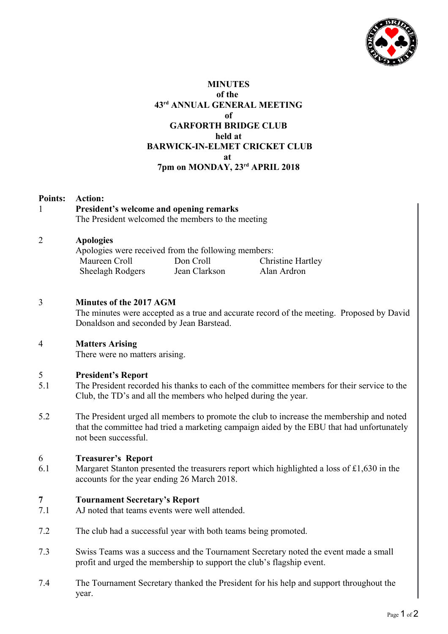

# **MINUTES of the 43rd ANNUAL GENERAL MEETING of GARFORTH BRIDGE CLUB held at BARWICK-IN-ELMET CRICKET CLUB at 7pm on MONDAY, 23rd APRIL 2018**

| <b>Points:</b><br><b>Action:</b><br>President's welcome and opening remarks<br>The President welcomed the members to the meeting                                                                              |  |  |  |
|---------------------------------------------------------------------------------------------------------------------------------------------------------------------------------------------------------------|--|--|--|
| <b>Apologies</b><br>Apologies were received from the following members:<br>Maureen Croll<br>Don Croll<br><b>Christine Hartley</b><br>Jean Clarkson<br><b>Sheelagh Rodgers</b><br>Alan Ardron                  |  |  |  |
| Minutes of the 2017 AGM<br>The minutes were accepted as a true and accurate record of the meeting. Proposed by David<br>Donaldson and seconded by Jean Barstead.                                              |  |  |  |
| <b>Matters Arising</b><br>There were no matters arising.                                                                                                                                                      |  |  |  |
| <b>President's Report</b><br>The President recorded his thanks to each of the committee members for their service to the<br>Club, the TD's and all the members who helped during the year.                    |  |  |  |
| The President urged all members to promote the club to increase the membership and noted<br>that the committee had tried a marketing campaign aided by the EBU that had unfortunately<br>not been successful. |  |  |  |
| <b>Treasurer's Report</b><br>Margaret Stanton presented the treasurers report which highlighted a loss of £1,630 in the<br>accounts for the year ending 26 March 2018.                                        |  |  |  |
| <b>Tournament Secretary's Report</b><br>AJ noted that teams events were well attended.                                                                                                                        |  |  |  |
| The club had a successful year with both teams being promoted.                                                                                                                                                |  |  |  |
| Swiss Teams was a success and the Tournament Secretary noted the event made a small<br>profit and urged the membership to support the club's flagship event.                                                  |  |  |  |
| The Tournament Secretary thanked the President for his help and support throughout the<br>year.                                                                                                               |  |  |  |
|                                                                                                                                                                                                               |  |  |  |